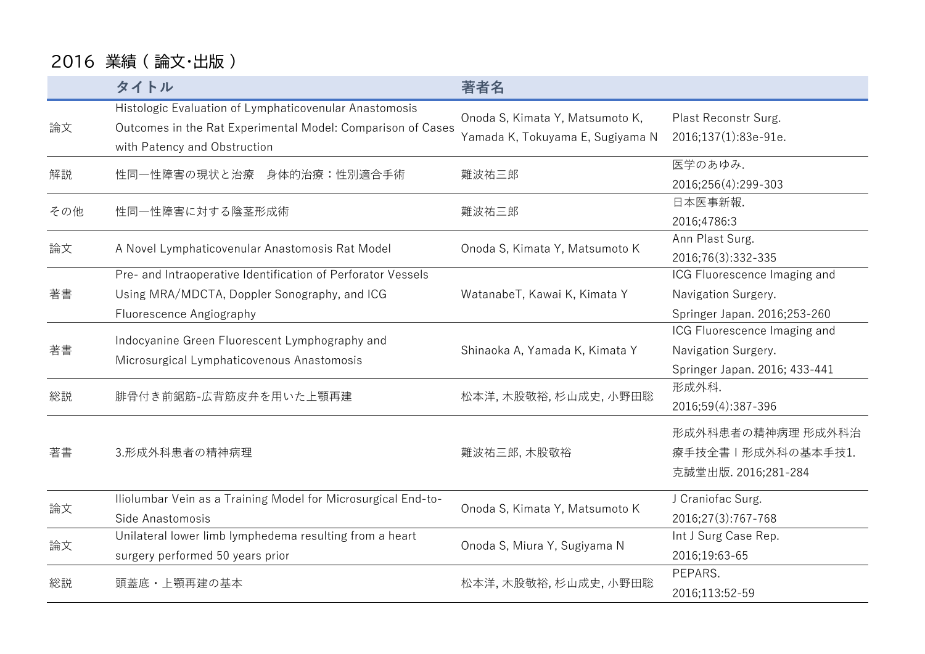## 2016 業績 ( 論文・出版 )

|     | タイトル                                                                                                                                                  | 著者名                                                                 |                                                                                      |
|-----|-------------------------------------------------------------------------------------------------------------------------------------------------------|---------------------------------------------------------------------|--------------------------------------------------------------------------------------|
| 論文  | Histologic Evaluation of Lymphaticovenular Anastomosis<br>Outcomes in the Rat Experimental Model: Comparison of Cases<br>with Patency and Obstruction | Onoda S, Kimata Y, Matsumoto K,<br>Yamada K, Tokuyama E, Sugiyama N | Plast Reconstr Surg.<br>2016;137(1):83e-91e.                                         |
| 解説  | 性同一性障害の現状と治療 身体的治療:性別適合手術                                                                                                                             | 難波祐三郎                                                               | 医学のあゆみ.<br>2016;256(4):299-303                                                       |
| その他 | 性同一性障害に対する陰茎形成術                                                                                                                                       | 難波祐三郎                                                               | 日本医事新報.<br>2016;4786:3                                                               |
| 論文  | A Novel Lymphaticovenular Anastomosis Rat Model                                                                                                       | Onoda S, Kimata Y, Matsumoto K                                      | Ann Plast Surg.<br>2016;76(3):332-335                                                |
| 著書  | Pre- and Intraoperative Identification of Perforator Vessels<br>Using MRA/MDCTA, Doppler Sonography, and ICG<br>Fluorescence Angiography              | WatanabeT, Kawai K, Kimata Y                                        | ICG Fluorescence Imaging and<br>Navigation Surgery.<br>Springer Japan. 2016;253-260  |
| 著書  | Indocyanine Green Fluorescent Lymphography and<br>Microsurgical Lymphaticovenous Anastomosis                                                          | Shinaoka A, Yamada K, Kimata Y                                      | ICG Fluorescence Imaging and<br>Navigation Surgery.<br>Springer Japan. 2016; 433-441 |
| 総説  | 腓骨付き前鋸筋-広背筋皮弁を用いた上顎再建                                                                                                                                 | 松本洋,木股敬裕,杉山成史,小野田聡                                                  | 形成外科.<br>2016;59(4):387-396                                                          |
| 著書  | 3.形成外科患者の精神病理                                                                                                                                         | 難波祐三郎, 木股敬裕                                                         | 形成外科患者の精神病理 形成外科治<br>療手技全書   形成外科の基本手技1.<br>克誠堂出版. 2016;281-284                      |
| 論文  | Iliolumbar Vein as a Training Model for Microsurgical End-to-<br>Side Anastomosis                                                                     | Onoda S, Kimata Y, Matsumoto K                                      | J Craniofac Surg.<br>2016;27(3):767-768                                              |
| 論文  | Unilateral lower limb lymphedema resulting from a heart<br>surgery performed 50 years prior                                                           | Onoda S, Miura Y, Sugiyama N                                        | Int J Surg Case Rep.<br>2016;19:63-65                                                |
| 総説  | 頭蓋底・上顎再建の基本                                                                                                                                           | 松本洋,木股敬裕,杉山成史,小野田聡                                                  | PEPARS.<br>2016;113:52-59                                                            |